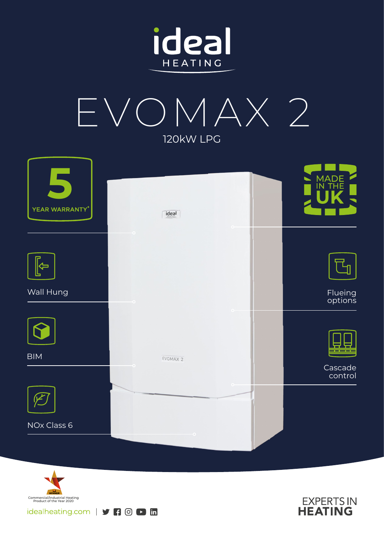



| YEAR WARRANTY* | ideal               | MADE<br>IN THE     |
|----------------|---------------------|--------------------|
|                | $\circ$             |                    |
| $\Rightarrow$  |                     |                    |
| Wall Hung      |                     | Flueing<br>options |
|                |                     |                    |
| <b>BIM</b>     | EVOMAX <sub>2</sub> |                    |
|                |                     | Cascade<br>control |
|                |                     |                    |
| NOx Class 6    |                     |                    |
|                |                     |                    |



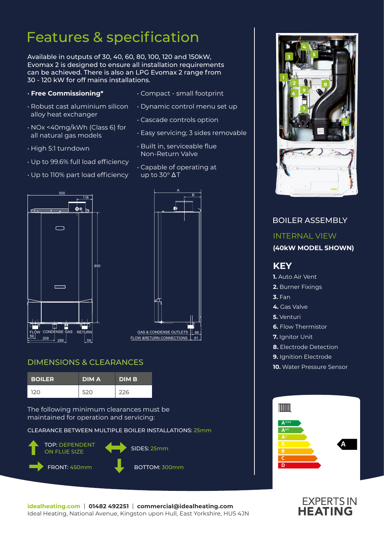# Features & specification

Available in outputs of 30, 40, 60, 80, 100, 120 and 150kW, Evomax 2 is designed to ensure all installation requirements can be achieved. There is also an LPG Evomax 2 range from 30 - 120 kW for off mains installations.

### • **Free Commissioning\***

- Robust cast aluminium silicon alloy heat exchanger
- NOx <40mg/kWh (Class 6) for all natural gas models
- High 5:1 turndown
- Up to 99.6% full load efficiency

• Up to 110% part load efficiency

- Compact small footprint
- Dynamic control menu set up
- Cascade controls option
- Easy servicing; 3 sides removable
- Built in, serviceable flue Non-Return Valve
- Capable of operating at up to 30° Δ T





### DIMENSIONS & CLEARANCES

| <b>BOILER</b> | <b>DIMA</b> | <b>DIMB</b> |
|---------------|-------------|-------------|
| <b>120</b>    | 520         | 226         |

The following minimum clearances must be maintained for operation and servicing:

CLEARANCE BETWEEN MULTIPLE BOILER INSTALLATIONS: 25mm



# **1 3 5 7 6 8 9 10 2**

BOILER ASSEMBLY

**4**

## INTERNAL VIEW **(40kW MODEL SHOWN) KEY 1.** Auto Air Vent **2.** Burner Fixings **3.** Fan **4.** Gas Valve **5.** Venturi **6.** Flow Thermistor **7.** Ianitor Unit **8.** Electrode Detection **9.** Ignition Electrode **10.** Water Pressure Sensor Imm **A+++ A++ A**



**A**

**C D**

**idealheating.com** | **01482 492251** | **commercial@idealheating.com**  Ideal Heating, National Avenue, Kingston upon Hull, East Yorkshire, HU5 4JN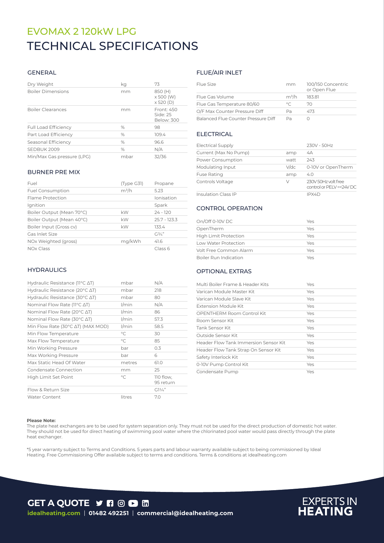## TECHNICAL SPECIFICATIONS EVOMAX 2 120kW LPG

### GENERAL

| Dry Weight                  | kg   | 73                                       |
|-----------------------------|------|------------------------------------------|
| <b>Boiler Dimensions</b>    | mm   | 850 (H)<br>x 500 (W)<br>$\times$ 520 (D) |
| <b>Boiler Clearances</b>    | mm   | Front: 450<br>Side: 25<br>Below: 300     |
| <b>Full Load Efficiency</b> | $\%$ | 98                                       |
| Part Load Efficiency        | $\%$ | 109.4                                    |
| Seasonal Efficiency         | $\%$ | 96.6                                     |
| SEDBUK 2009                 | $\%$ | N/A                                      |
| Min/Max Gas pressure (LPG)  | mbar | 32/36                                    |

#### BURNER PRE MIX

| Fuel                      | (Type G31) | Propane        |
|---------------------------|------------|----------------|
| <b>Fuel Consumption</b>   | $m^3/h$    | 5.23           |
| Flame Protection          |            | Ionisation     |
| Ignition                  |            | Spark          |
| Boiler Output (Mean 70°C) | kW         | $24 - 120$     |
| Boiler Output (Mean 40°C) | kW         | $25.7 - 123.3$ |
| Boiler Input (Gross cv)   | kW         | 133.4          |
| Gas Inlet Size            |            | $G^{3/2}$      |
| NOx Weighted (gross)      | mg/kWh     | 41.6           |
| <b>NOx Class</b>          |            | Class 6        |

### **HYDRAULICS**

| Hydraulic Resistance ( $11^{\circ}$ C $\Delta$ T)   | mbar         | N/A                    |
|-----------------------------------------------------|--------------|------------------------|
| Hydraulic Resistance (20°C ∆T)                      | mbar         | 218                    |
| Hydraulic Resistance (30 $\degree$ C $\triangle$ T) | mbar         | 80                     |
| Nominal Flow Rate (11°C ∆T)                         | $1/m$ in     | N/A                    |
| Nominal Flow Rate (20°C ∆T)                         | l/min        | 86                     |
| Nominal Flow Rate (30°C ∆T)                         | $1/m$ in     | 57.3                   |
| Min Flow Rate (30°C ∆T) (MAX MOD)                   | l/min        | 58.5                   |
| Min Flow Temperature                                | $^{\circ}$ C | 30                     |
| Max Flow Temperature                                | $^{\circ}$ C | 85                     |
| Min Working Pressure                                | bar          | 0.3                    |
| Max Working Pressure                                | bar          | 6                      |
| Max Static Head Of Water                            | metres       | 61.0                   |
| Condensate Connection                               | mm           | 25                     |
| High Limit Set Point                                | $^{\circ}C$  | 110 flow,<br>95 return |
| Flow & Return Size                                  |              | $G1\frac{1}{4}$        |
| <b>Water Content</b>                                | litres       | 7.0                    |

### FLUE/AIR INLET

| Flue Size                           | mm      | 100/150 Concentric<br>or Open Flue |
|-------------------------------------|---------|------------------------------------|
| Flue Gas Volume                     | $m^3/h$ | 183.81                             |
| Flue Gas Temperature 80/60          | $\circ$ | $70^{\circ}$                       |
| O/F Max Counter Pressure Diff       | Pa      | 473                                |
| Balanced Flue Counter Pressure Diff | Dа      |                                    |

### **ELECTRICAL**

| <b>Electrical Supply</b>   |         | 230V - 50Hz                                      |
|----------------------------|---------|--------------------------------------------------|
| Current (Max No Pump)      | amp     | 4A                                               |
| Power Consumption          | watt    | 243                                              |
| Modulating Input           | $V$ /dc | 0-10V or OpenTherm                               |
| <b>Fuse Rating</b>         | amp     | 4.0                                              |
| Controls Voltage           | V       | 230V 50Hz volt free<br>control or PELV =< 24V DC |
| <b>Insulation Class IP</b> |         | IPX4D                                            |

### CONTROL OPERATION

| On/Off 0-10V DC              | Yes |
|------------------------------|-----|
| OpenTherm                    | Yes |
| <b>High Limit Protection</b> | Yes |
| Low Water Protection         | Yes |
| Volt Free Common Alarm       | Yes |
| Boiler Run Indication        | Yes |

### OPTIONAL EXTRAS

| Multi Boiler Frame & Header Kits      | Yes |
|---------------------------------------|-----|
| Varican Module Master Kit             | Yes |
| Varican Module Slave Kit              | Yes |
| Extension Module Kit                  | Yes |
| OPENTHERM Room Control Kit            | Yes |
| Room Sensor Kit                       | Yes |
| Tank Sensor Kit                       | Yes |
| Outside Sensor Kit                    | Yes |
| Header Flow Tank Immersion Sensor Kit | Yes |
| Header Flow Tank Strap On Sensor Kit  | Yes |
| Safety Interlock Kit                  | Yes |
| 0-10V Pump Control Kit                | Yes |
| Condensate Pump                       | Yes |

#### **Please Note:**

The plate heat exchangers are to be used for system separation only. They must not be used for the direct production of domestic hot water. They should not be used for direct heating of swimming pool water where the chlorinated pool water would pass directly through the plate heat exchanger.

\*5 year warranty subject to Terms and Conditions. 5 years parts and labour warranty available subject to being commissioned by Ideal Heating. Free Commissioning Offer available subject to terms and conditions. Terms & conditions at idealheating.com

**GET A QUOTE Y R @ D H idealheating.com** | **01482 492251** | **commercial@idealheating.com**